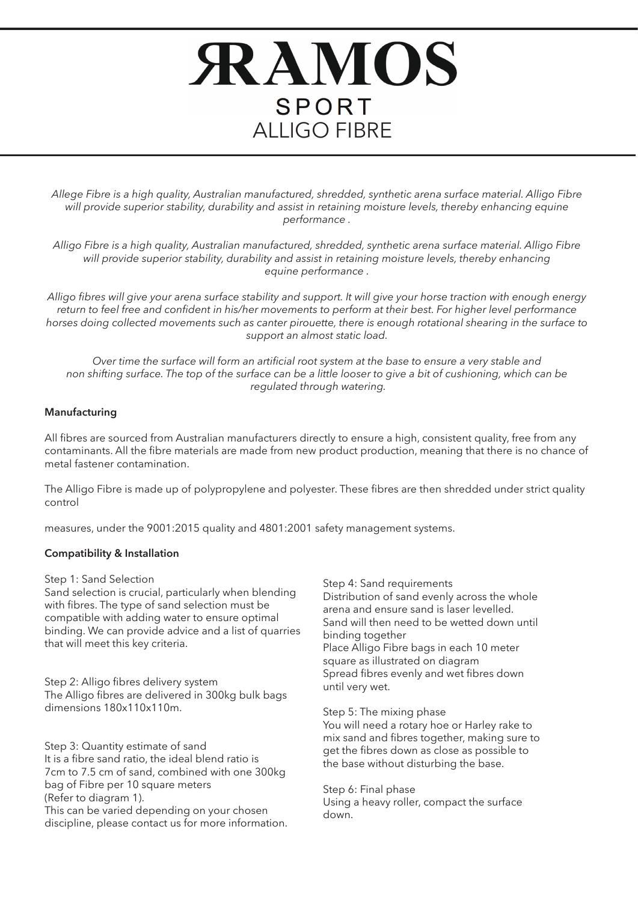# **RAMOS SPORT** ALLIGO FIBRE

*Allege Fibre is a high quality, Australian manufactured, shredded, synthetic arena surface material. Alligo Fibre*  will provide superior stability, durability and assist in retaining moisture levels, thereby enhancing equine *performance .*

*Alligo Fibre is a high quality, Australian manufactured, shredded, synthetic arena surface material. Alligo Fibre will provide superior stability, durability and assist in retaining moisture levels, thereby enhancing equine performance .*

*Alligo fibres will give your arena surface stability and support. It will give your horse traction with enough energy return to feel free and confident in his/her movements to perform at their best. For higher level performance horses doing collected movements such as canter pirouette, there is enough rotational shearing in the surface to support an almost static load.*

*Over time the surface will form an artificial root system at the base to ensure a very stable and non shifting surface. The top of the surface can be a little looser to give a bit of cushioning, which can be regulated through watering.* 

### **Manufacturing**

All fibres are sourced from Australian manufacturers directly to ensure a high, consistent quality, free from any contaminants. All the fibre materials are made from new product production, meaning that there is no chance of metal fastener contamination.

The Alligo Fibre is made up of polypropylene and polyester. These fibres are then shredded under strict quality control

measures, under the 9001:2015 quality and 4801:2001 safety management systems.

## **Compatibility & Installation**

Step 1: Sand Selection

Sand selection is crucial, particularly when blending with fibres. The type of sand selection must be compatible with adding water to ensure optimal binding. We can provide advice and a list of quarries that will meet this key criteria.

Step 2: Alligo fibres delivery system The Alligo fibres are delivered in 300kg bulk bags dimensions 180x110x110m.

Step 3: Quantity estimate of sand It is a fibre sand ratio, the ideal blend ratio is 7cm to 7.5 cm of sand, combined with one 300kg bag of Fibre per 10 square meters (Refer to diagram 1). This can be varied depending on your chosen discipline, please contact us for more information. Step 4: Sand requirements Distribution of sand evenly across the whole arena and ensure sand is laser levelled. Sand will then need to be wetted down until binding together Place Alligo Fibre bags in each 10 meter square as illustrated on diagram Spread fibres evenly and wet fibres down until very wet.

Step 5: The mixing phase You will need a rotary hoe or Harley rake to mix sand and fibres together, making sure to get the fibres down as close as possible to the base without disturbing the base.

Step 6: Final phase Using a heavy roller, compact the surface down.